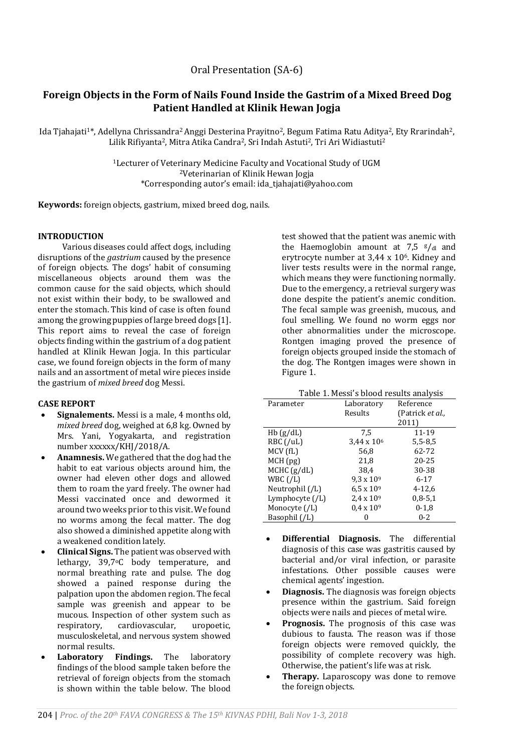Oral Presentation (SA-6)

# **Foreign Objects in the Form of Nails Found Inside the Gastrim of a Mixed Breed Dog Patient Handled at Klinik Hewan Jogja**

Ida Tjahajati<sup>1\*</sup>, Adellyna Chrissandra<sup>2</sup> Anggi Desterina Prayitno<sup>2</sup>, Begum Fatima Ratu Aditya<sup>2</sup>, Ety Rrarindah<sup>2</sup>, Lilik Rifiyanta2, Mitra Atika Candra2, Sri Indah Astuti2, Tri Ari Widiastuti<sup>2</sup>

> <sup>1</sup>Lecturer of Veterinary Medicine Faculty and Vocational Study of UGM <sup>2</sup>Veterinarian of Klinik Hewan Jogja \*Corresponding autor's email: ida\_tjahajati@yahoo.com

**Keywords:** foreign objects, gastrium, mixed breed dog, nails.

## **INTRODUCTION**

Various diseases could affect dogs, including disruptions of the *gastrium* caused by the presence of foreign objects. The dogs' habit of consuming miscellaneous objects around them was the common cause for the said objects, which should not exist within their body, to be swallowed and enter the stomach. This kind of case is often found among the growing puppies of large breed dogs [1]. This report aims to reveal the case of foreign objects finding within the gastrium of a dog patient handled at Klinik Hewan Jogja. In this particular case, we found foreign objects in the form of many nails and an assortment of metal wire pieces inside the gastrium of *mixed breed* dog Messi.

## **CASE REPORT**

- **Signalements.** Messi is a male, 4 months old, *mixed breed* dog, weighed at 6,8 kg. Owned by Mrs. Yani, Yogyakarta, and registration number xxxxxx/KHJ/2018/A.
- **Anamnesis.** We gathered that the dog had the habit to eat various objects around him, the owner had eleven other dogs and allowed them to roam the yard freely. The owner had Messi vaccinated once and dewormed it around two weeks prior to this visit. We found no worms among the fecal matter. The dog also showed a diminished appetite along with a weakened condition lately.
- **Clinical Signs.** The patient was observed with lethargy, 39,7°C body temperature, and normal breathing rate and pulse. The dog showed a pained response during the palpation upon the abdomen region. The fecal sample was greenish and appear to be mucous. Inspection of other system such as respiratory, cardiovascular, uropoetic, musculoskeletal, and nervous system showed normal results.
- **Laboratory Findings.** The laboratory findings of the blood sample taken before the retrieval of foreign objects from the stomach is shown within the table below. The blood

test showed that the patient was anemic with the Haemoglobin amount at 7,5  $g/d$  and erytrocyte number at 3,44 x 106. Kidney and liver tests results were in the normal range, which means they were functioning normally. Due to the emergency, a retrieval surgery was done despite the patient's anemic condition. The fecal sample was greenish, mucous, and foul smelling. We found no worm eggs nor other abnormalities under the microscope. Rontgen imaging proved the presence of foreign objects grouped inside the stomach of the dog. The Rontgen images were shown in Figure 1.

| Table 1. Messi's blood results analysis |                     |                          |
|-----------------------------------------|---------------------|--------------------------|
| Parameter                               | Laboratory          | Reference                |
|                                         | Results             | (Patrick <i>et al.</i> , |
|                                         |                     | 2011)                    |
| Hb(g/dL)                                | 7.5                 | 11-19                    |
| RBC (/uL)                               | $3,44 \times 10^6$  | $5,5-8,5$                |
| MCV (fL)                                | 56,8                | 62-72                    |
| MCH(pg)                                 | 21,8                | $20 - 25$                |
| MCHC (g/dL)                             | 38.4                | 30-38                    |
| WBC / L                                 | $9.3 \times 10^{9}$ | $6 - 17$                 |
| Neutrophil $($ /L $)$                   | $6.5 \times 10^{9}$ | $4 - 12.6$               |
| Lymphocyte $($ /L $)$                   | $2.4 \times 10^{9}$ | $0,8 - 5,1$              |
| Monocyte (/L)                           | $0.4 \times 10^{9}$ | $0-1,8$                  |
| Basophil (/L)                           | 0                   | $0 - 2$                  |

- **Differential Diagnosis.** The differential diagnosis of this case was gastritis caused by bacterial and/or viral infection, or parasite infestations. Other possible causes were chemical agents' ingestion.
- **Diagnosis.** The diagnosis was foreign objects presence within the gastrium. Said foreign objects were nails and pieces of metal wire.
- **Prognosis.** The prognosis of this case was dubious to fausta. The reason was if those foreign objects were removed quickly, the possibility of complete recovery was high. Otherwise, the patient's life was at risk.
- **Therapy.** Laparoscopy was done to remove the foreign objects.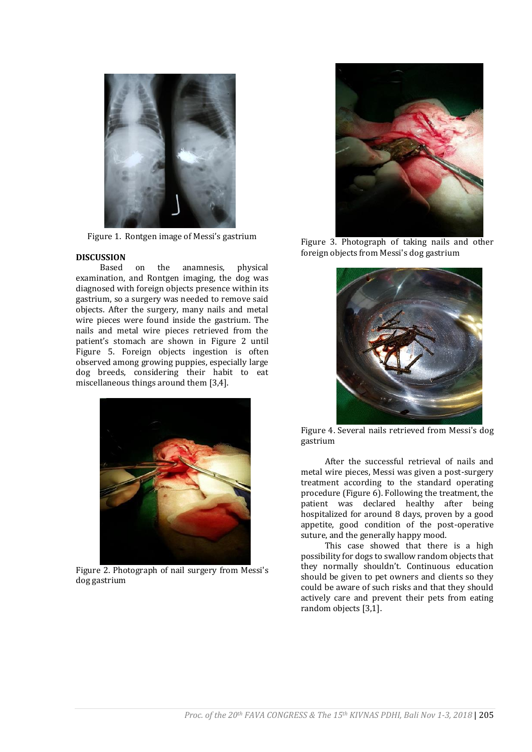

Figure 1. Rontgen image of Messi's gastrium

#### **DISCUSSION**

Based on the anamnesis, physical examination, and Rontgen imaging, the dog was diagnosed with foreign objects presence within its gastrium, so a surgery was needed to remove said objects. After the surgery, many nails and metal wire pieces were found inside the gastrium. The nails and metal wire pieces retrieved from the patient's stomach are shown in Figure 2 until Figure 5. Foreign objects ingestion is often observed among growing puppies, especially large dog breeds, considering their habit to eat miscellaneous things around them [3,4].



Figure 2. Photograph of nail surgery from Messi's dog gastrium



Figure 3. Photograph of taking nails and other foreign objects from Messi's dog gastrium



Figure 4. Several nails retrieved from Messi's dog gastrium

After the successful retrieval of nails and metal wire pieces, Messi was given a post-surgery treatment according to the standard operating procedure (Figure 6). Following the treatment, the patient was declared healthy after being hospitalized for around 8 days, proven by a good appetite, good condition of the post-operative suture, and the generally happy mood.

This case showed that there is a high possibility for dogs to swallow random objects that they normally shouldn't. Continuous education should be given to pet owners and clients so they could be aware of such risks and that they should actively care and prevent their pets from eating random objects [3,1].